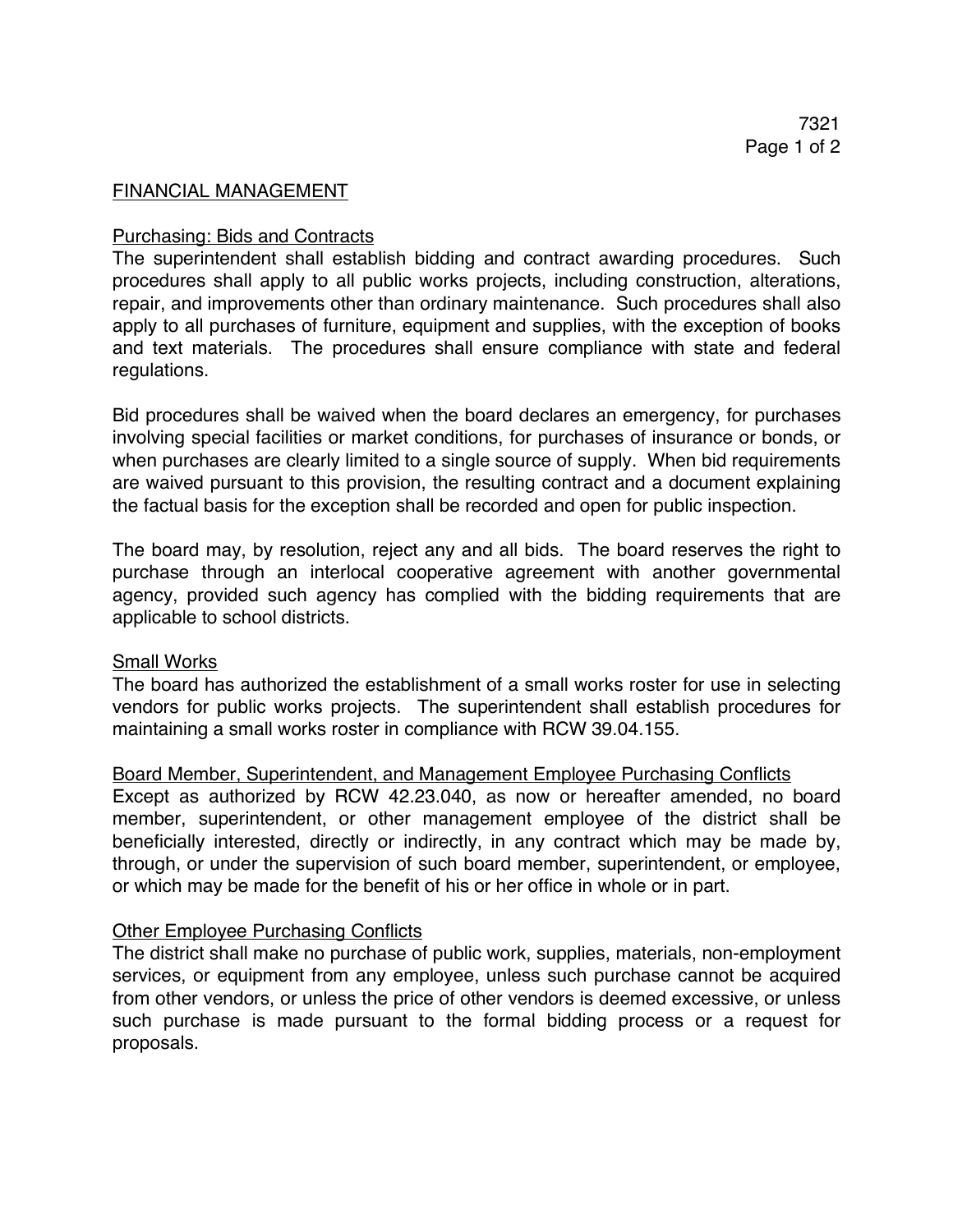### FINANCIAL MANAGEMENT

### Purchasing: Bids and Contracts

The superintendent shall establish bidding and contract awarding procedures. Such procedures shall apply to all public works projects, including construction, alterations, repair, and improvements other than ordinary maintenance. Such procedures shall also apply to all purchases of furniture, equipment and supplies, with the exception of books and text materials. The procedures shall ensure compliance with state and federal regulations.

Bid procedures shall be waived when the board declares an emergency, for purchases involving special facilities or market conditions, for purchases of insurance or bonds, or when purchases are clearly limited to a single source of supply. When bid requirements are waived pursuant to this provision, the resulting contract and a document explaining the factual basis for the exception shall be recorded and open for public inspection.

The board may, by resolution, reject any and all bids. The board reserves the right to purchase through an interlocal cooperative agreement with another governmental agency, provided such agency has complied with the bidding requirements that are applicable to school districts.

#### Small Works

The board has authorized the establishment of a small works roster for use in selecting vendors for public works projects. The superintendent shall establish procedures for maintaining a small works roster in compliance with RCW 39.04.155.

# Board Member, Superintendent, and Management Employee Purchasing Conflicts

Except as authorized by RCW 42.23.040, as now or hereafter amended, no board member, superintendent, or other management employee of the district shall be beneficially interested, directly or indirectly, in any contract which may be made by, through, or under the supervision of such board member, superintendent, or employee, or which may be made for the benefit of his or her office in whole or in part.

# **Other Employee Purchasing Conflicts**

The district shall make no purchase of public work, supplies, materials, non-employment services, or equipment from any employee, unless such purchase cannot be acquired from other vendors, or unless the price of other vendors is deemed excessive, or unless such purchase is made pursuant to the formal bidding process or a request for proposals.